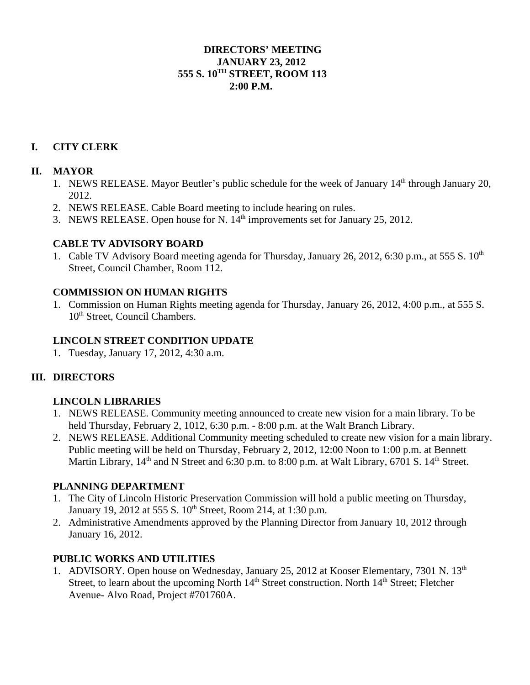#### **DIRECTORS' MEETING JANUARY 23, 2012 555 S. 10TH STREET, ROOM 113 2:00 P.M.**

# **I. CITY CLERK**

# **II. MAYOR**

- 1. NEWS RELEASE. Mayor Beutler's public schedule for the week of January 14<sup>th</sup> through January 20, 2012.
- 2. NEWS RELEASE. Cable Board meeting to include hearing on rules.
- 3. NEWS RELEASE. Open house for N. 14<sup>th</sup> improvements set for January 25, 2012.

#### **CABLE TV ADVISORY BOARD**

1. Cable TV Advisory Board meeting agenda for Thursday, January 26, 2012, 6:30 p.m., at 555 S. 10<sup>th</sup> Street, Council Chamber, Room 112.

# **COMMISSION ON HUMAN RIGHTS**

1. Commission on Human Rights meeting agenda for Thursday, January 26, 2012, 4:00 p.m., at 555 S. 10<sup>th</sup> Street, Council Chambers.

#### **LINCOLN STREET CONDITION UPDATE**

1. Tuesday, January 17, 2012, 4:30 a.m.

# **III. DIRECTORS**

# **LINCOLN LIBRARIES**

- 1. NEWS RELEASE. Community meeting announced to create new vision for a main library. To be held Thursday, February 2, 1012, 6:30 p.m. - 8:00 p.m. at the Walt Branch Library.
- 2. NEWS RELEASE. Additional Community meeting scheduled to create new vision for a main library. Public meeting will be held on Thursday, February 2, 2012, 12:00 Noon to 1:00 p.m. at Bennett Martin Library,  $14<sup>th</sup>$  and N Street and 6:30 p.m. to 8:00 p.m. at Walt Library, 6701 S.  $14<sup>th</sup>$  Street.

# **PLANNING DEPARTMENT**

- 1. The City of Lincoln Historic Preservation Commission will hold a public meeting on Thursday, January 19, 2012 at 555 S. 10<sup>th</sup> Street, Room 214, at 1:30 p.m.
- 2. Administrative Amendments approved by the Planning Director from January 10, 2012 through January 16, 2012.

# **PUBLIC WORKS AND UTILITIES**

1. ADVISORY. Open house on Wednesday, January 25, 2012 at Kooser Elementary, 7301 N. 13<sup>th</sup> Street, to learn about the upcoming North 14<sup>th</sup> Street construction. North 14<sup>th</sup> Street; Fletcher Avenue- Alvo Road, Project #701760A.